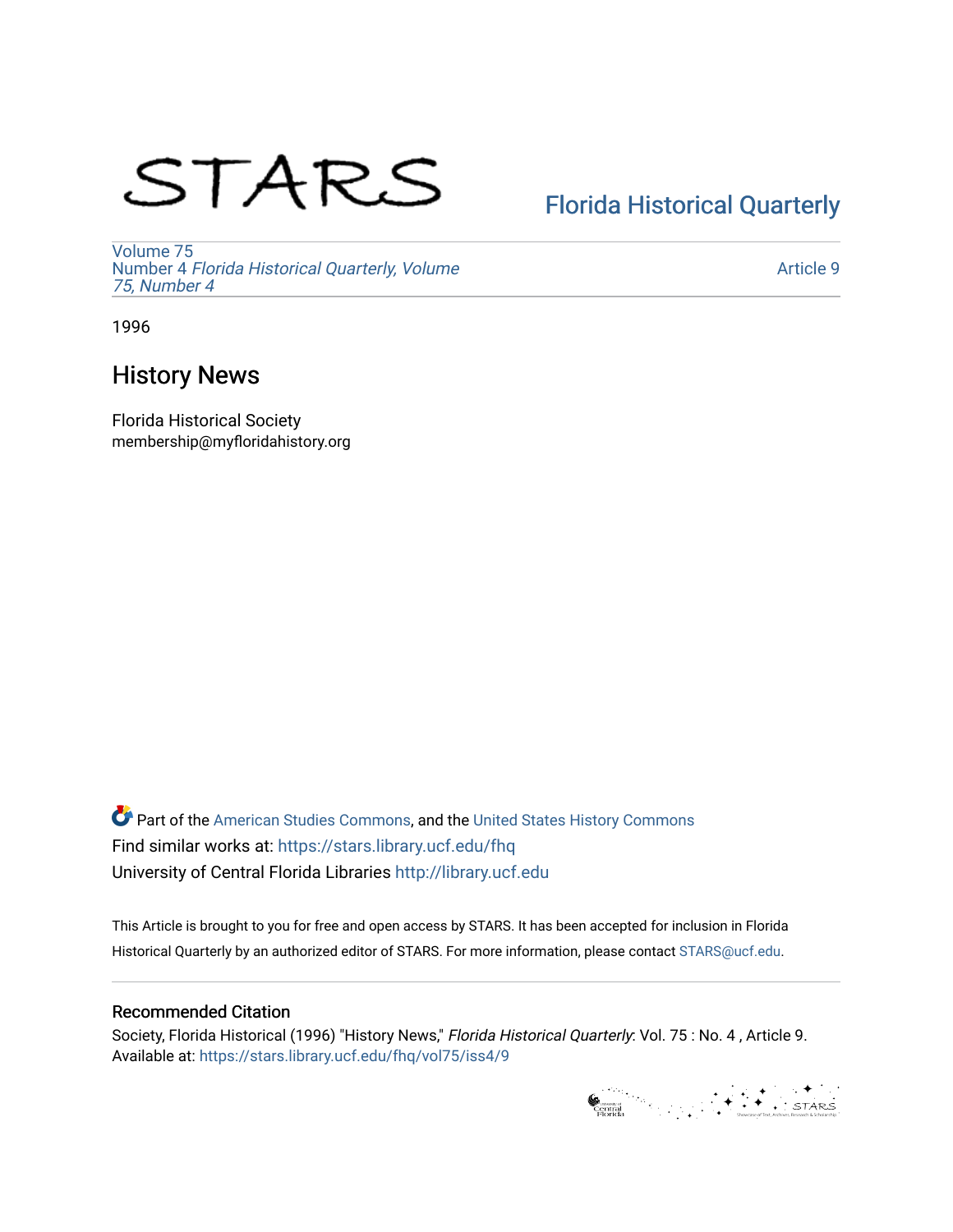# STARS

# [Florida Historical Quarterly](https://stars.library.ucf.edu/fhq)

[Volume 75](https://stars.library.ucf.edu/fhq/vol75) Number 4 [Florida Historical Quarterly, Volume](https://stars.library.ucf.edu/fhq/vol75/iss4)  [75, Number 4](https://stars.library.ucf.edu/fhq/vol75/iss4)

[Article 9](https://stars.library.ucf.edu/fhq/vol75/iss4/9) 

1996

## History News

Florida Historical Society membership@myfloridahistory.org

**C** Part of the [American Studies Commons](http://network.bepress.com/hgg/discipline/439?utm_source=stars.library.ucf.edu%2Ffhq%2Fvol75%2Fiss4%2F9&utm_medium=PDF&utm_campaign=PDFCoverPages), and the United States History Commons Find similar works at: <https://stars.library.ucf.edu/fhq> University of Central Florida Libraries [http://library.ucf.edu](http://library.ucf.edu/) 

This Article is brought to you for free and open access by STARS. It has been accepted for inclusion in Florida Historical Quarterly by an authorized editor of STARS. For more information, please contact [STARS@ucf.edu.](mailto:STARS@ucf.edu)

### Recommended Citation

Society, Florida Historical (1996) "History News," Florida Historical Quarterly: Vol. 75 : No. 4 , Article 9. Available at: [https://stars.library.ucf.edu/fhq/vol75/iss4/9](https://stars.library.ucf.edu/fhq/vol75/iss4/9?utm_source=stars.library.ucf.edu%2Ffhq%2Fvol75%2Fiss4%2F9&utm_medium=PDF&utm_campaign=PDFCoverPages) 

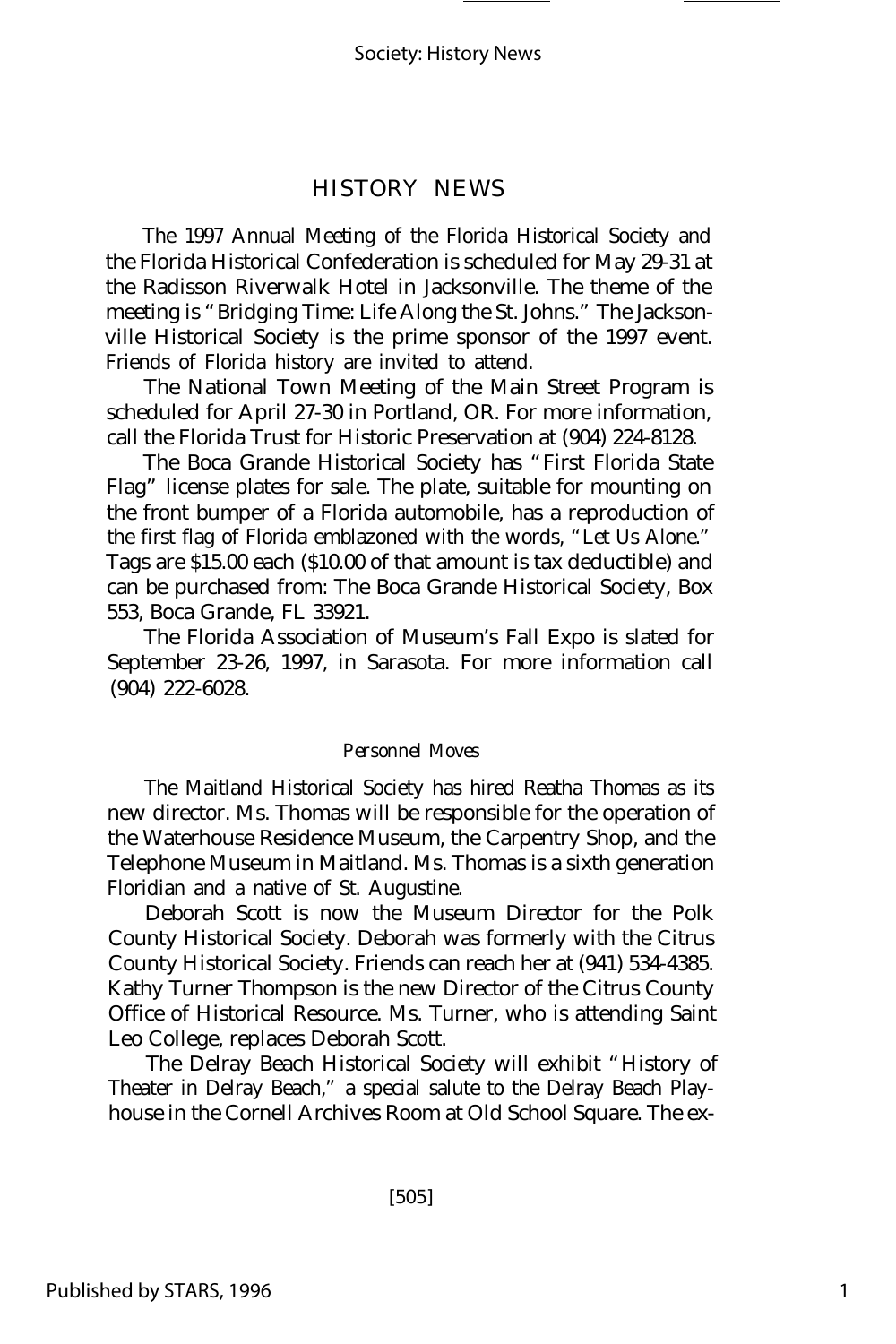#### HISTORY NEWS

The 1997 Annual Meeting of the Florida Historical Society and the Florida Historical Confederation is scheduled for May 29-31 at the Radisson Riverwalk Hotel in Jacksonville. The theme of the meeting is "Bridging Time: Life Along the St. Johns." The Jacksonville Historical Society is the prime sponsor of the 1997 event. Friends of Florida history are invited to attend.

The National Town Meeting of the Main Street Program is scheduled for April 27-30 in Portland, OR. For more information, call the Florida Trust for Historic Preservation at (904) 224-8128.

The Boca Grande Historical Society has "First Florida State Flag" license plates for sale. The plate, suitable for mounting on the front bumper of a Florida automobile, has a reproduction of the first flag of Florida emblazoned with the words, "Let Us Alone." Tags are \$15.00 each (\$10.00 of that amount is tax deductible) and can be purchased from: The Boca Grande Historical Society, Box 553, Boca Grande, FL 33921.

The Florida Association of Museum's Fall Expo is slated for September 23-26, 1997, in Sarasota. For more information call (904) 222-6028.

#### *Personnel Moves*

The Maitland Historical Society has hired Reatha Thomas as its new director. Ms. Thomas will be responsible for the operation of the Waterhouse Residence Museum, the Carpentry Shop, and the Telephone Museum in Maitland. Ms. Thomas is a sixth generation Floridian and a native of St. Augustine.

Deborah Scott is now the Museum Director for the Polk County Historical Society. Deborah was formerly with the Citrus County Historical Society. Friends can reach her at (941) 534-4385. Kathy Turner Thompson is the new Director of the Citrus County Office of Historical Resource. Ms. Turner, who is attending Saint Leo College, replaces Deborah Scott.

The Delray Beach Historical Society will exhibit "History of Theater in Delray Beach," a special salute to the Delray Beach Playhouse in the Cornell Archives Room at Old School Square. The ex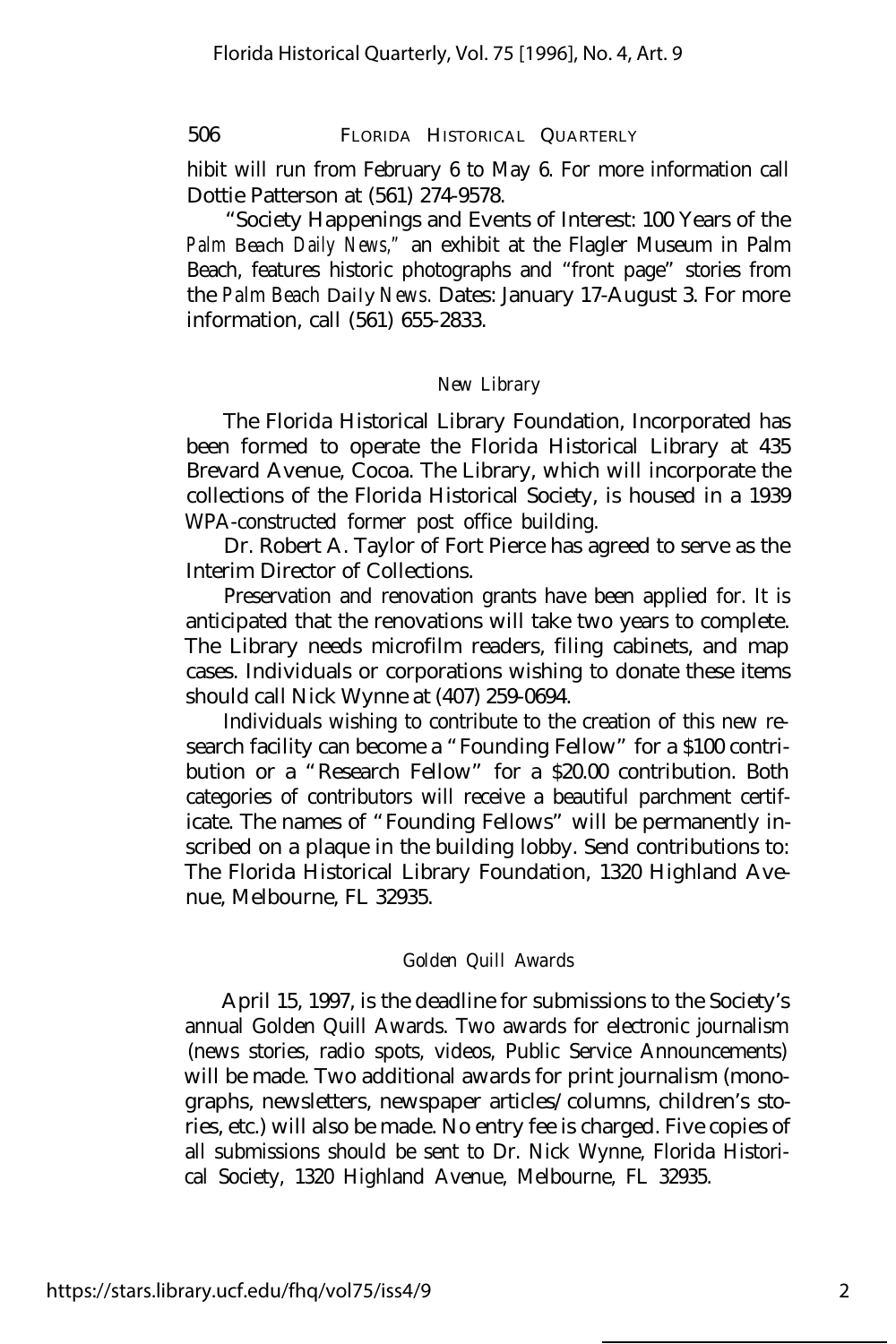506 FLORIDA HISTORICAL QUARTERLY

hibit will run from February 6 to May 6. For more information call Dottie Patterson at (561) 274-9578.

"Society Happenings and Events of Interest: 100 Years of the *Palm Beach Daily News,"* an exhibit at the Flagler Museum in Palm Beach, features historic photographs and "front page" stories from the *Palm Beach Daily News.* Dates: January 17-August 3. For more information, call (561) 655-2833.

#### *New Library*

The Florida Historical Library Foundation, Incorporated has been formed to operate the Florida Historical Library at 435 Brevard Avenue, Cocoa. The Library, which will incorporate the collections of the Florida Historical Society, is housed in a 1939 WPA-constructed former post office building.

Dr. Robert A. Taylor of Fort Pierce has agreed to serve as the Interim Director of Collections.

Preservation and renovation grants have been applied for. It is anticipated that the renovations will take two years to complete. The Library needs microfilm readers, filing cabinets, and map cases. Individuals or corporations wishing to donate these items should call Nick Wynne at (407) 259-0694.

Individuals wishing to contribute to the creation of this new research facility can become a "Founding Fellow" for a \$100 contribution or a "Research Fellow" for a \$20.00 contribution. Both categories of contributors will receive a beautiful parchment certificate. The names of "Founding Fellows" will be permanently inscribed on a plaque in the building lobby. Send contributions to: The Florida Historical Library Foundation, 1320 Highland Avenue, Melbourne, FL 32935.

#### *Golden Quill Awards*

April 15, 1997, is the deadline for submissions to the Society's annual Golden Quill Awards. Two awards for electronic journalism (news stories, radio spots, videos, Public Service Announcements) will be made. Two additional awards for print journalism (monographs, newsletters, newspaper articles/columns, children's stories, etc.) will also be made. No entry fee is charged. Five copies of all submissions should be sent to Dr. Nick Wynne, Florida Historical Society, 1320 Highland Avenue, Melbourne, FL 32935.